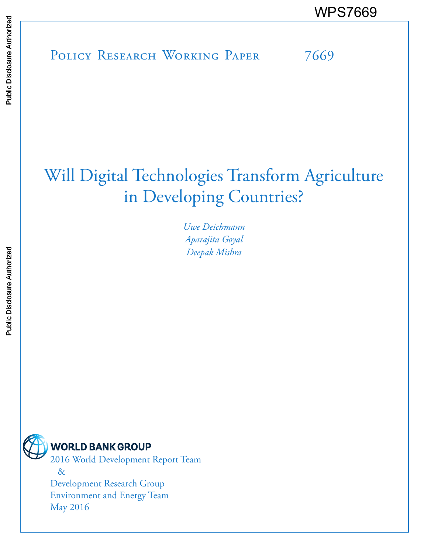POLICY RESEARCH WORKING PAPER 7669 WPS7669<br>
Media<br>
Media<br>
Policy Research Working Paper 7669<br>
Policy Research Working Paper 7669

# Will Digital Technologies Transform Agriculture in Developing Countries?

*Uwe Deichmann Aparajita Goyal Deepak Mishra*

**WORLD BANK GROUP** 2016 World Development Report Team &

> Development Research Group Environment and Energy Team May 2016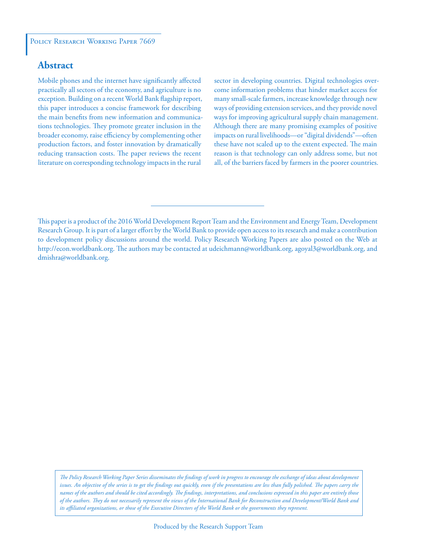## **Abstract**

Mobile phones and the internet have significantly affected practically all sectors of the economy, and agriculture is no exception. Building on a recent World Bank flagship report, this paper introduces a concise framework for describing the main benefits from new information and communications technologies. They promote greater inclusion in the broader economy, raise efficiency by complementing other production factors, and foster innovation by dramatically reducing transaction costs. The paper reviews the recent literature on corresponding technology impacts in the rural

sector in developing countries. Digital technologies overcome information problems that hinder market access for many small-scale farmers, increase knowledge through new ways of providing extension services, and they provide novel ways for improving agricultural supply chain management. Although there are many promising examples of positive impacts on rural livelihoods—or "digital dividends"—often these have not scaled up to the extent expected. The main reason is that technology can only address some, but not all, of the barriers faced by farmers in the poorer countries.

*The Policy Research Working Paper Series disseminates the findings of work in progress to encourage the exchange of ideas about development*  issues. An objective of the series is to get the findings out quickly, even if the presentations are less than fully polished. The papers carry the *names of the authors and should be cited accordingly. The findings, interpretations, and conclusions expressed in this paper are entirely those of the authors. They do not necessarily represent the views of the International Bank for Reconstruction and Development/World Bank and its affiliated organizations, or those of the Executive Directors of the World Bank or the governments they represent.*

This paper is a product of the 2016 World Development Report Team and the Environment and Energy Team, Development Research Group. It is part of a larger effort by the World Bank to provide open access to its research and make a contribution to development policy discussions around the world. Policy Research Working Papers are also posted on the Web at http://econ.worldbank.org. The authors may be contacted at udeichmann@worldbank.org, agoyal3@worldbank.org, and dmishra@worldbank.org.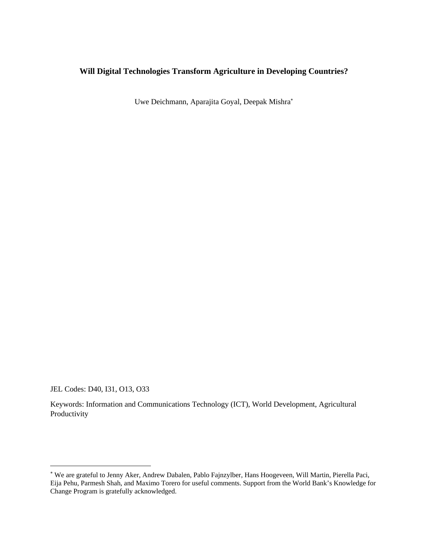# **Will Digital Technologies Transform Agriculture in Developing Countries?**

Uwe Deichmann, Aparajita Goyal, Deepak Mishra

JEL Codes: D40, I31, O13, O33

Keywords: Information and Communications Technology (ICT), World Development, Agricultural Productivity

We are grateful to Jenny Aker, Andrew Dabalen, Pablo Fajnzylber, Hans Hoogeveen, Will Martin, Pierella Paci, Eija Pehu, Parmesh Shah, and Maximo Torero for useful comments. Support from the World Bank's Knowledge for Change Program is gratefully acknowledged.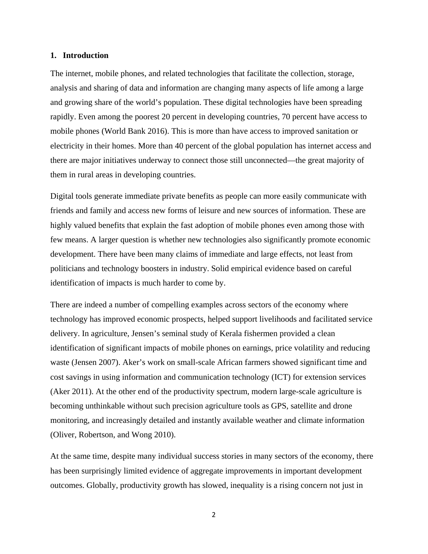#### **1. Introduction**

The internet, mobile phones, and related technologies that facilitate the collection, storage, analysis and sharing of data and information are changing many aspects of life among a large and growing share of the world's population. These digital technologies have been spreading rapidly. Even among the poorest 20 percent in developing countries, 70 percent have access to mobile phones (World Bank 2016). This is more than have access to improved sanitation or electricity in their homes. More than 40 percent of the global population has internet access and there are major initiatives underway to connect those still unconnected—the great majority of them in rural areas in developing countries.

Digital tools generate immediate private benefits as people can more easily communicate with friends and family and access new forms of leisure and new sources of information. These are highly valued benefits that explain the fast adoption of mobile phones even among those with few means. A larger question is whether new technologies also significantly promote economic development. There have been many claims of immediate and large effects, not least from politicians and technology boosters in industry. Solid empirical evidence based on careful identification of impacts is much harder to come by.

There are indeed a number of compelling examples across sectors of the economy where technology has improved economic prospects, helped support livelihoods and facilitated service delivery. In agriculture, Jensen's seminal study of Kerala fishermen provided a clean identification of significant impacts of mobile phones on earnings, price volatility and reducing waste (Jensen 2007). Aker's work on small-scale African farmers showed significant time and cost savings in using information and communication technology (ICT) for extension services (Aker 2011). At the other end of the productivity spectrum, modern large-scale agriculture is becoming unthinkable without such precision agriculture tools as GPS, satellite and drone monitoring, and increasingly detailed and instantly available weather and climate information (Oliver, Robertson, and Wong 2010).

At the same time, despite many individual success stories in many sectors of the economy, there has been surprisingly limited evidence of aggregate improvements in important development outcomes. Globally, productivity growth has slowed, inequality is a rising concern not just in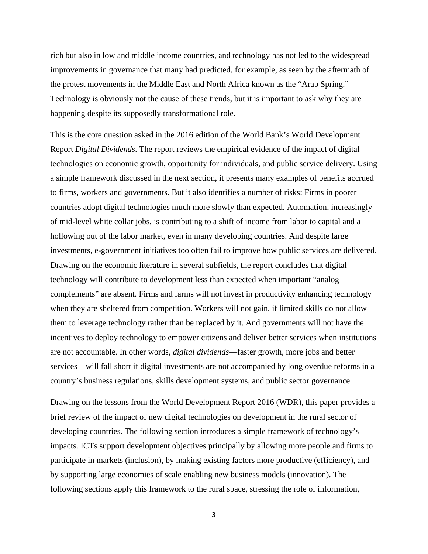rich but also in low and middle income countries, and technology has not led to the widespread improvements in governance that many had predicted, for example, as seen by the aftermath of the protest movements in the Middle East and North Africa known as the "Arab Spring." Technology is obviously not the cause of these trends, but it is important to ask why they are happening despite its supposedly transformational role.

This is the core question asked in the 2016 edition of the World Bank's World Development Report *Digital Dividends*. The report reviews the empirical evidence of the impact of digital technologies on economic growth, opportunity for individuals, and public service delivery. Using a simple framework discussed in the next section, it presents many examples of benefits accrued to firms, workers and governments. But it also identifies a number of risks: Firms in poorer countries adopt digital technologies much more slowly than expected. Automation, increasingly of mid-level white collar jobs, is contributing to a shift of income from labor to capital and a hollowing out of the labor market, even in many developing countries. And despite large investments, e-government initiatives too often fail to improve how public services are delivered. Drawing on the economic literature in several subfields, the report concludes that digital technology will contribute to development less than expected when important "analog complements" are absent. Firms and farms will not invest in productivity enhancing technology when they are sheltered from competition. Workers will not gain, if limited skills do not allow them to leverage technology rather than be replaced by it. And governments will not have the incentives to deploy technology to empower citizens and deliver better services when institutions are not accountable. In other words, *digital dividends*—faster growth, more jobs and better services—will fall short if digital investments are not accompanied by long overdue reforms in a country's business regulations, skills development systems, and public sector governance.

Drawing on the lessons from the World Development Report 2016 (WDR), this paper provides a brief review of the impact of new digital technologies on development in the rural sector of developing countries. The following section introduces a simple framework of technology's impacts. ICTs support development objectives principally by allowing more people and firms to participate in markets (inclusion), by making existing factors more productive (efficiency), and by supporting large economies of scale enabling new business models (innovation). The following sections apply this framework to the rural space, stressing the role of information,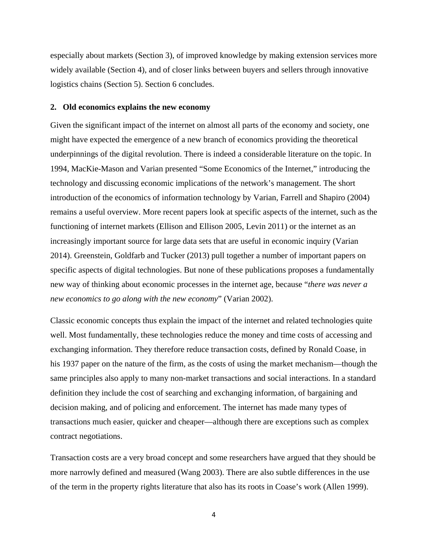especially about markets (Section 3), of improved knowledge by making extension services more widely available (Section 4), and of closer links between buyers and sellers through innovative logistics chains (Section 5). Section 6 concludes.

#### **2. Old economics explains the new economy**

Given the significant impact of the internet on almost all parts of the economy and society, one might have expected the emergence of a new branch of economics providing the theoretical underpinnings of the digital revolution. There is indeed a considerable literature on the topic. In 1994, MacKie-Mason and Varian presented "Some Economics of the Internet," introducing the technology and discussing economic implications of the network's management. The short introduction of the economics of information technology by Varian, Farrell and Shapiro (2004) remains a useful overview. More recent papers look at specific aspects of the internet, such as the functioning of internet markets (Ellison and Ellison 2005, Levin 2011) or the internet as an increasingly important source for large data sets that are useful in economic inquiry (Varian 2014). Greenstein, Goldfarb and Tucker (2013) pull together a number of important papers on specific aspects of digital technologies. But none of these publications proposes a fundamentally new way of thinking about economic processes in the internet age, because "*there was never a new economics to go along with the new economy*" (Varian 2002).

Classic economic concepts thus explain the impact of the internet and related technologies quite well. Most fundamentally, these technologies reduce the money and time costs of accessing and exchanging information. They therefore reduce transaction costs, defined by Ronald Coase, in his 1937 paper on the nature of the firm, as the costs of using the market mechanism—though the same principles also apply to many non-market transactions and social interactions. In a standard definition they include the cost of searching and exchanging information, of bargaining and decision making, and of policing and enforcement. The internet has made many types of transactions much easier, quicker and cheaper—although there are exceptions such as complex contract negotiations.

Transaction costs are a very broad concept and some researchers have argued that they should be more narrowly defined and measured (Wang 2003). There are also subtle differences in the use of the term in the property rights literature that also has its roots in Coase's work (Allen 1999).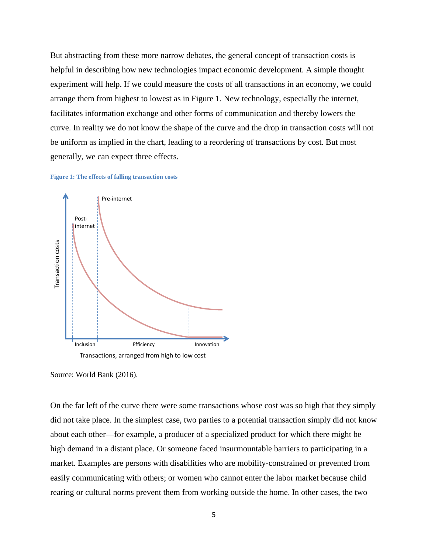But abstracting from these more narrow debates, the general concept of transaction costs is helpful in describing how new technologies impact economic development. A simple thought experiment will help. If we could measure the costs of all transactions in an economy, we could arrange them from highest to lowest as in Figure 1. New technology, especially the internet, facilitates information exchange and other forms of communication and thereby lowers the curve. In reality we do not know the shape of the curve and the drop in transaction costs will not be uniform as implied in the chart, leading to a reordering of transactions by cost. But most generally, we can expect three effects.





Source: World Bank (2016).

On the far left of the curve there were some transactions whose cost was so high that they simply did not take place. In the simplest case, two parties to a potential transaction simply did not know about each other—for example, a producer of a specialized product for which there might be high demand in a distant place. Or someone faced insurmountable barriers to participating in a market. Examples are persons with disabilities who are mobility-constrained or prevented from easily communicating with others; or women who cannot enter the labor market because child Francetions, a ranged from high to low cost<br>
Transactions, arranged from high to low cost<br>
Source: World Bank (2016).<br>
On the far left of the curve there were some transactions whose cost was so high that they simpled<br>
abo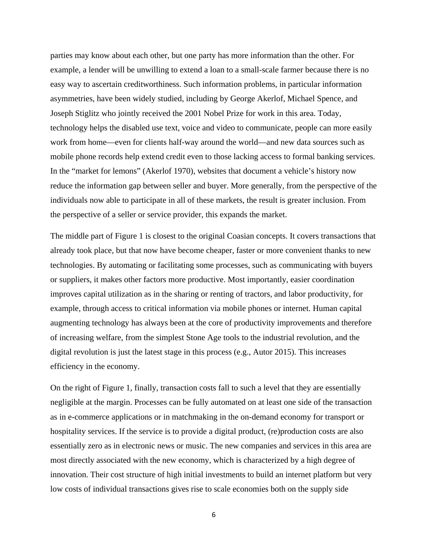parties may know about each other, but one party has more information than the other. For example, a lender will be unwilling to extend a loan to a small-scale farmer because there is no easy way to ascertain creditworthiness. Such information problems, in particular information asymmetries, have been widely studied, including by George Akerlof, Michael Spence, and Joseph Stiglitz who jointly received the 2001 Nobel Prize for work in this area. Today, technology helps the disabled use text, voice and video to communicate, people can more easily work from home—even for clients half-way around the world—and new data sources such as mobile phone records help extend credit even to those lacking access to formal banking services. In the "market for lemons" (Akerlof 1970), websites that document a vehicle's history now reduce the information gap between seller and buyer. More generally, from the perspective of the individuals now able to participate in all of these markets, the result is greater inclusion. From the perspective of a seller or service provider, this expands the market.

The middle part of Figure 1 is closest to the original Coasian concepts. It covers transactions that already took place, but that now have become cheaper, faster or more convenient thanks to new technologies. By automating or facilitating some processes, such as communicating with buyers or suppliers, it makes other factors more productive. Most importantly, easier coordination improves capital utilization as in the sharing or renting of tractors, and labor productivity, for example, through access to critical information via mobile phones or internet. Human capital augmenting technology has always been at the core of productivity improvements and therefore of increasing welfare, from the simplest Stone Age tools to the industrial revolution, and the digital revolution is just the latest stage in this process (e.g., Autor 2015). This increases efficiency in the economy.

On the right of Figure 1, finally, transaction costs fall to such a level that they are essentially negligible at the margin. Processes can be fully automated on at least one side of the transaction as in e-commerce applications or in matchmaking in the on-demand economy for transport or hospitality services. If the service is to provide a digital product, (re)production costs are also essentially zero as in electronic news or music. The new companies and services in this area are most directly associated with the new economy, which is characterized by a high degree of innovation. Their cost structure of high initial investments to build an internet platform but very low costs of individual transactions gives rise to scale economies both on the supply side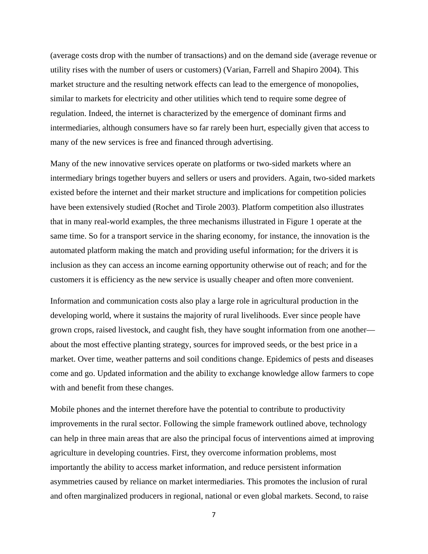(average costs drop with the number of transactions) and on the demand side (average revenue or utility rises with the number of users or customers) (Varian, Farrell and Shapiro 2004). This market structure and the resulting network effects can lead to the emergence of monopolies, similar to markets for electricity and other utilities which tend to require some degree of regulation. Indeed, the internet is characterized by the emergence of dominant firms and intermediaries, although consumers have so far rarely been hurt, especially given that access to many of the new services is free and financed through advertising.

Many of the new innovative services operate on platforms or two-sided markets where an intermediary brings together buyers and sellers or users and providers. Again, two-sided markets existed before the internet and their market structure and implications for competition policies have been extensively studied (Rochet and Tirole 2003). Platform competition also illustrates that in many real-world examples, the three mechanisms illustrated in Figure 1 operate at the same time. So for a transport service in the sharing economy, for instance, the innovation is the automated platform making the match and providing useful information; for the drivers it is inclusion as they can access an income earning opportunity otherwise out of reach; and for the customers it is efficiency as the new service is usually cheaper and often more convenient.

Information and communication costs also play a large role in agricultural production in the developing world, where it sustains the majority of rural livelihoods. Ever since people have grown crops, raised livestock, and caught fish, they have sought information from one another about the most effective planting strategy, sources for improved seeds, or the best price in a market. Over time, weather patterns and soil conditions change. Epidemics of pests and diseases come and go. Updated information and the ability to exchange knowledge allow farmers to cope with and benefit from these changes.

Mobile phones and the internet therefore have the potential to contribute to productivity improvements in the rural sector. Following the simple framework outlined above, technology can help in three main areas that are also the principal focus of interventions aimed at improving agriculture in developing countries. First, they overcome information problems, most importantly the ability to access market information, and reduce persistent information asymmetries caused by reliance on market intermediaries. This promotes the inclusion of rural and often marginalized producers in regional, national or even global markets. Second, to raise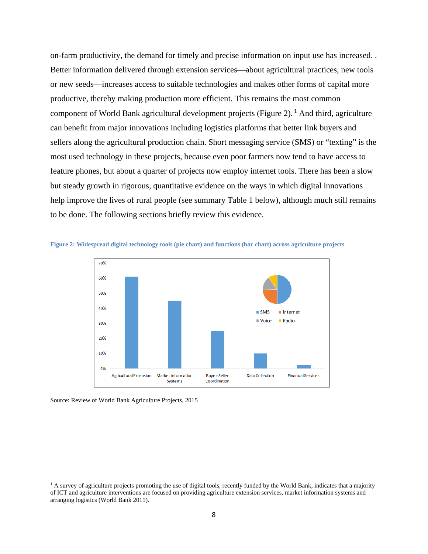on-farm productivity, the demand for timely and precise information on input use has increased. . Better information delivered through extension services—about agricultural practices, new tools or new seeds—increases access to suitable technologies and makes other forms of capital more productive, thereby making production more efficient. This remains the most common component of World Bank agricultural development projects (Figure 2).  $\frac{1}{1}$  And third, agriculture can benefit from major innovations including logistics platforms that better link buyers and sellers along the agricultural production chain. Short messaging service (SMS) or "texting" is the most used technology in these projects, because even poor farmers now tend to have access to feature phones, but about a quarter of projects now employ internet tools. There has been a slow but steady growth in rigorous, quantitative evidence on the ways in which digital innovations help improve the lives of rural people (see summary Table 1 below), although much still remains to be done. The following sections briefly review this evidence.



**Figure 2: Widespread digital technology tools (pie chart) and functions (bar chart) across agriculture projects**

Source: Review of World Bank Agriculture Projects, 2015

<sup>&</sup>lt;sup>1</sup> A survey of agriculture projects promoting the use of digital tools, recently funded by the World Bank, indicates that a majority of ICT and agriculture interventions are focused on providing agriculture extension services, market information systems and arranging logistics (World Bank 2011).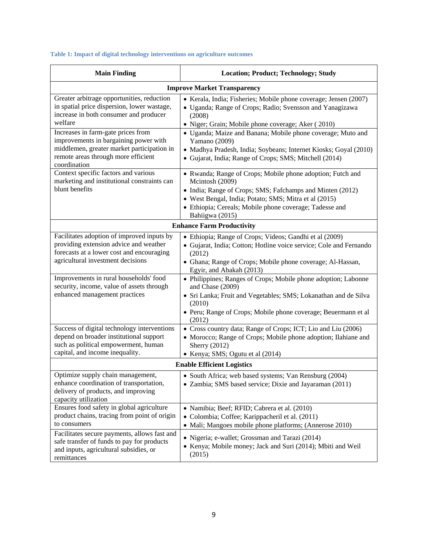#### **Main Finding Location; Product; Technology; Study Improve Market Transparency** Greater arbitrage opportunities, reduction in spatial price dispersion, lower wastage, increase in both consumer and producer welfare • Kerala, India; Fisheries; Mobile phone coverage; Jensen (2007) Uganda; Range of Crops; Radio; Svensson and Yanagizawa (2008) • Niger; Grain; Mobile phone coverage; Aker (2010) Increases in farm-gate prices from improvements in bargaining power with middlemen, greater market participation in remote areas through more efficient coordination Uganda; Maize and Banana; Mobile phone coverage; Muto and Yamano (2009) Madhya Pradesh, India; Soybeans; Internet Kiosks; Goyal (2010) Gujarat, India; Range of Crops; SMS; Mitchell (2014) Context specific factors and various marketing and institutional constraints can blunt benefits • Rwanda; Range of Crops; Mobile phone adoption; Futch and Mcintosh (2009) • India; Range of Crops; SMS; Fafchamps and Minten (2012) West Bengal, India; Potato; SMS; Mitra et al (2015) Ethiopia; Cereals; Mobile phone coverage; Tadesse and Bahiigwa (2015) **Enhance Farm Productivity** Facilitates adoption of improved inputs by providing extension advice and weather forecasts at a lower cost and encouraging agricultural investment decisions Ethiopia; Range of Crops; Videos; Gandhi et al (2009) Gujarat, India; Cotton; Hotline voice service; Cole and Fernando (2012) Ghana; Range of Crops; Mobile phone coverage; Al-Hassan, Egyir, and Abakah (2013) Improvements in rural households' food security, income, value of assets through enhanced management practices Philippines; Ranges of Crops; Mobile phone adoption; Labonne and Chase (2009) • Sri Lanka; Fruit and Vegetables; SMS; Lokanathan and de Silva (2010) Peru; Range of Crops; Mobile phone coverage; Beuermann et al (2012) Success of digital technology interventions depend on broader institutional support such as political empowerment, human capital, and income inequality. • Cross country data; Range of Crops; ICT; Lio and Liu (2006) • Morocco; Range of Crops; Mobile phone adoption; Ilahiane and Sherry (2012) • Kenya; SMS; Ogutu et al (2014) **Enable Efficient Logistics** Optimize supply chain management, enhance coordination of transportation, delivery of products, and improving capacity utilization • South Africa; web based systems; Van Rensburg (2004) • Zambia; SMS based service; Dixie and Jayaraman (2011) Ensures food safety in global agriculture product chains, tracing from point of origin to consumers • Namibia; Beef; RFID; Cabrera et al. (2010) Colombia; Coffee; Karippacheril et al. (2011) • Mali; Mangoes mobile phone platforms; (Annerose 2010) Facilitates secure payments, allows fast and safe transfer of funds to pay for products and inputs, agricultural subsidies, or remittances • Nigeria; e-wallet; Grossman and Tarazi (2014) Kenya; Mobile money; Jack and Suri (2014); Mbiti and Weil (2015)

#### **Table 1: Impact of digital technology interventions on agriculture outcomes**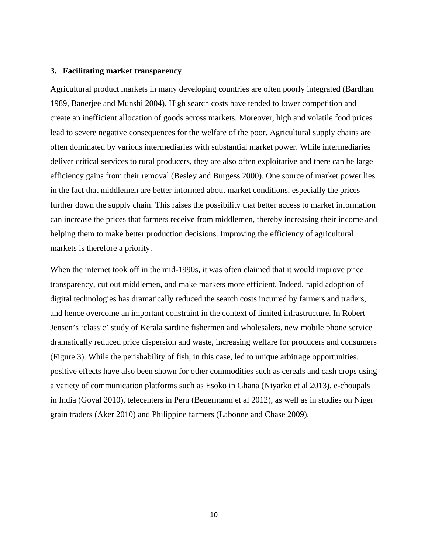#### **3. Facilitating market transparency**

Agricultural product markets in many developing countries are often poorly integrated (Bardhan 1989, Banerjee and Munshi 2004). High search costs have tended to lower competition and create an inefficient allocation of goods across markets. Moreover, high and volatile food prices lead to severe negative consequences for the welfare of the poor. Agricultural supply chains are often dominated by various intermediaries with substantial market power. While intermediaries deliver critical services to rural producers, they are also often exploitative and there can be large efficiency gains from their removal (Besley and Burgess 2000). One source of market power lies in the fact that middlemen are better informed about market conditions, especially the prices further down the supply chain. This raises the possibility that better access to market information can increase the prices that farmers receive from middlemen, thereby increasing their income and helping them to make better production decisions. Improving the efficiency of agricultural markets is therefore a priority.

When the internet took off in the mid-1990s, it was often claimed that it would improve price transparency, cut out middlemen, and make markets more efficient. Indeed, rapid adoption of digital technologies has dramatically reduced the search costs incurred by farmers and traders, and hence overcome an important constraint in the context of limited infrastructure. In Robert Jensen's 'classic' study of Kerala sardine fishermen and wholesalers, new mobile phone service dramatically reduced price dispersion and waste, increasing welfare for producers and consumers (Figure 3). While the perishability of fish, in this case, led to unique arbitrage opportunities, positive effects have also been shown for other commodities such as cereals and cash crops using a variety of communication platforms such as Esoko in Ghana (Niyarko et al 2013), e-choupals in India (Goyal 2010), telecenters in Peru (Beuermann et al 2012), as well as in studies on Niger grain traders (Aker 2010) and Philippine farmers (Labonne and Chase 2009).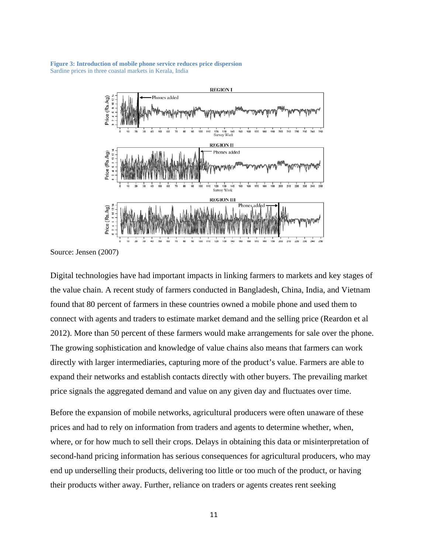**Figure 3: Introduction of mobile phone service reduces price dispersion**  Sardine prices in three coastal markets in Kerala, India



Source: Jensen (2007)

Digital technologies have had important impacts in linking farmers to markets and key stages of the value chain. A recent study of farmers conducted in Bangladesh, China, India, and Vietnam found that 80 percent of farmers in these countries owned a mobile phone and used them to connect with agents and traders to estimate market demand and the selling price (Reardon et al 2012). More than 50 percent of these farmers would make arrangements for sale over the phone. The growing sophistication and knowledge of value chains also means that farmers can work directly with larger intermediaries, capturing more of the product's value. Farmers are able to expand their networks and establish contacts directly with other buyers. The prevailing market price signals the aggregated demand and value on any given day and fluctuates over time.

Before the expansion of mobile networks, agricultural producers were often unaware of these prices and had to rely on information from traders and agents to determine whether, when, where, or for how much to sell their crops. Delays in obtaining this data or misinterpretation of second-hand pricing information has serious consequences for agricultural producers, who may end up underselling their products, delivering too little or too much of the product, or having their products wither away. Further, reliance on traders or agents creates rent seeking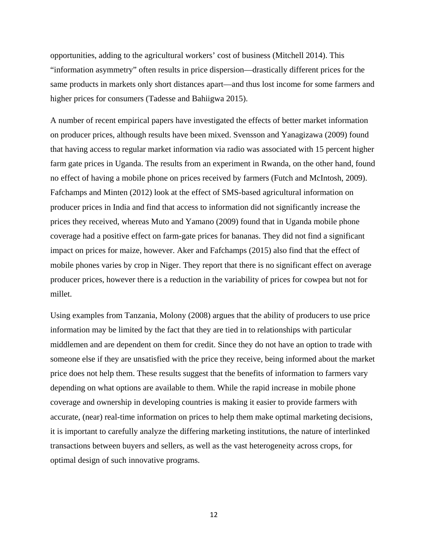opportunities, adding to the agricultural workers' cost of business (Mitchell 2014). This "information asymmetry" often results in price dispersion—drastically different prices for the same products in markets only short distances apart—and thus lost income for some farmers and higher prices for consumers (Tadesse and Bahiigwa 2015).

A number of recent empirical papers have investigated the effects of better market information on producer prices, although results have been mixed. Svensson and Yanagizawa (2009) found that having access to regular market information via radio was associated with 15 percent higher farm gate prices in Uganda. The results from an experiment in Rwanda, on the other hand, found no effect of having a mobile phone on prices received by farmers (Futch and McIntosh, 2009). Fafchamps and Minten (2012) look at the effect of SMS-based agricultural information on producer prices in India and find that access to information did not significantly increase the prices they received, whereas Muto and Yamano (2009) found that in Uganda mobile phone coverage had a positive effect on farm-gate prices for bananas. They did not find a significant impact on prices for maize, however. Aker and Fafchamps (2015) also find that the effect of mobile phones varies by crop in Niger. They report that there is no significant effect on average producer prices, however there is a reduction in the variability of prices for cowpea but not for millet.

Using examples from Tanzania, Molony (2008) argues that the ability of producers to use price information may be limited by the fact that they are tied in to relationships with particular middlemen and are dependent on them for credit. Since they do not have an option to trade with someone else if they are unsatisfied with the price they receive, being informed about the market price does not help them. These results suggest that the benefits of information to farmers vary depending on what options are available to them. While the rapid increase in mobile phone coverage and ownership in developing countries is making it easier to provide farmers with accurate, (near) real-time information on prices to help them make optimal marketing decisions, it is important to carefully analyze the differing marketing institutions, the nature of interlinked transactions between buyers and sellers, as well as the vast heterogeneity across crops, for optimal design of such innovative programs.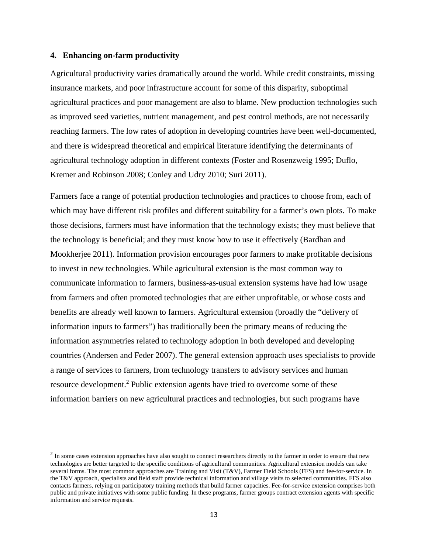#### **4. Enhancing on-farm productivity**

Agricultural productivity varies dramatically around the world. While credit constraints, missing insurance markets, and poor infrastructure account for some of this disparity, suboptimal agricultural practices and poor management are also to blame. New production technologies such as improved seed varieties, nutrient management, and pest control methods, are not necessarily reaching farmers. The low rates of adoption in developing countries have been well-documented, and there is widespread theoretical and empirical literature identifying the determinants of agricultural technology adoption in different contexts (Foster and Rosenzweig 1995; Duflo, Kremer and Robinson 2008; Conley and Udry 2010; Suri 2011).

Farmers face a range of potential production technologies and practices to choose from, each of which may have different risk profiles and different suitability for a farmer's own plots. To make those decisions, farmers must have information that the technology exists; they must believe that the technology is beneficial; and they must know how to use it effectively (Bardhan and Mookherjee 2011). Information provision encourages poor farmers to make profitable decisions to invest in new technologies. While agricultural extension is the most common way to communicate information to farmers, business-as-usual extension systems have had low usage from farmers and often promoted technologies that are either unprofitable, or whose costs and benefits are already well known to farmers. Agricultural extension (broadly the "delivery of information inputs to farmers") has traditionally been the primary means of reducing the information asymmetries related to technology adoption in both developed and developing countries (Andersen and Feder 2007). The general extension approach uses specialists to provide a range of services to farmers, from technology transfers to advisory services and human resource development.<sup>2</sup> Public extension agents have tried to overcome some of these information barriers on new agricultural practices and technologies, but such programs have

<sup>&</sup>lt;sup>2</sup> In some cases extension approaches have also sought to connect researchers directly to the farmer in order to ensure that new technologies are better targeted to the specific conditions of agricultural communities. Agricultural extension models can take several forms. The most common approaches are Training and Visit (T&V), Farmer Field Schools (FFS) and fee-for-service. In the T&V approach, specialists and field staff provide technical information and village visits to selected communities. FFS also contacts farmers, relying on participatory training methods that build farmer capacities. Fee-for-service extension comprises both public and private initiatives with some public funding. In these programs, farmer groups contract extension agents with specific information and service requests.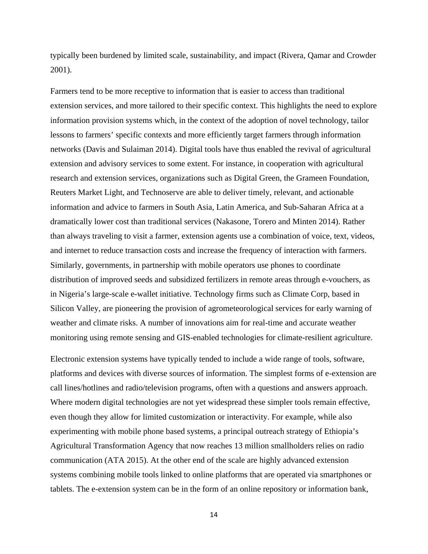typically been burdened by limited scale, sustainability, and impact (Rivera, Qamar and Crowder 2001).

Farmers tend to be more receptive to information that is easier to access than traditional extension services, and more tailored to their specific context. This highlights the need to explore information provision systems which, in the context of the adoption of novel technology, tailor lessons to farmers' specific contexts and more efficiently target farmers through information networks (Davis and Sulaiman 2014). Digital tools have thus enabled the revival of agricultural extension and advisory services to some extent. For instance, in cooperation with agricultural research and extension services, organizations such as Digital Green, the Grameen Foundation, Reuters Market Light, and Technoserve are able to deliver timely, relevant, and actionable information and advice to farmers in South Asia, Latin America, and Sub-Saharan Africa at a dramatically lower cost than traditional services (Nakasone, Torero and Minten 2014). Rather than always traveling to visit a farmer, extension agents use a combination of voice, text, videos, and internet to reduce transaction costs and increase the frequency of interaction with farmers. Similarly, governments, in partnership with mobile operators use phones to coordinate distribution of improved seeds and subsidized fertilizers in remote areas through e-vouchers, as in Nigeria's large-scale e-wallet initiative. Technology firms such as Climate Corp, based in Silicon Valley, are pioneering the provision of agrometeorological services for early warning of weather and climate risks. A number of innovations aim for real-time and accurate weather monitoring using remote sensing and GIS-enabled technologies for climate-resilient agriculture.

Electronic extension systems have typically tended to include a wide range of tools, software, platforms and devices with diverse sources of information. The simplest forms of e-extension are call lines/hotlines and radio/television programs, often with a questions and answers approach. Where modern digital technologies are not yet widespread these simpler tools remain effective, even though they allow for limited customization or interactivity. For example, while also experimenting with mobile phone based systems, a principal outreach strategy of Ethiopia's Agricultural Transformation Agency that now reaches 13 million smallholders relies on radio communication (ATA 2015). At the other end of the scale are highly advanced extension systems combining mobile tools linked to online platforms that are operated via smartphones or tablets. The e-extension system can be in the form of an online repository or information bank,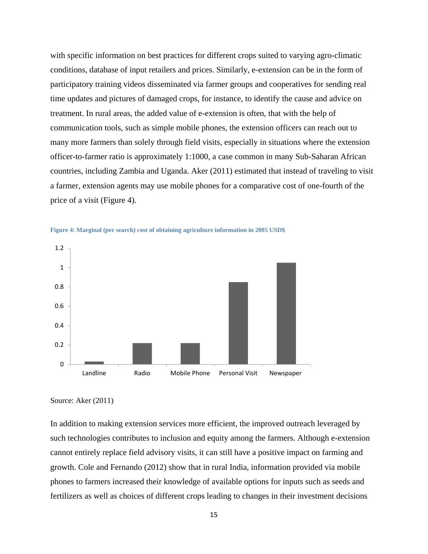with specific information on best practices for different crops suited to varying agro-climatic conditions, database of input retailers and prices. Similarly, e-extension can be in the form of participatory training videos disseminated via farmer groups and cooperatives for sending real time updates and pictures of damaged crops, for instance, to identify the cause and advice on treatment. In rural areas, the added value of e-extension is often, that with the help of communication tools, such as simple mobile phones, the extension officers can reach out to many more farmers than solely through field visits, especially in situations where the extension officer-to-farmer ratio is approximately 1:1000, a case common in many Sub-Saharan African countries, including Zambia and Uganda. Aker (2011) estimated that instead of traveling to visit a farmer, extension agents may use mobile phones for a comparative cost of one-fourth of the price of a visit (Figure 4).





In addition to making extension services more efficient, the improved outreach leveraged by such technologies contributes to inclusion and equity among the farmers. Although e-extension cannot entirely replace field advisory visits, it can still have a positive impact on farming and growth. Cole and Fernando (2012) show that in rural India, information provided via mobile phones to farmers increased their knowledge of available options for inputs such as seeds and fertilizers as well as choices of different crops leading to changes in their investment decisions

Source: Aker (2011)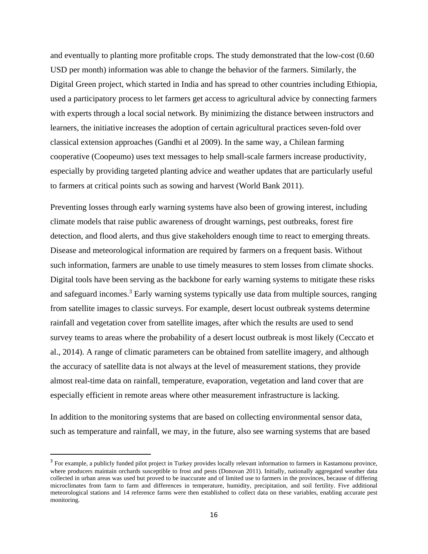and eventually to planting more profitable crops. The study demonstrated that the low-cost (0.60 USD per month) information was able to change the behavior of the farmers. Similarly, the Digital Green project, which started in India and has spread to other countries including Ethiopia, used a participatory process to let farmers get access to agricultural advice by connecting farmers with experts through a local social network. By minimizing the distance between instructors and learners, the initiative increases the adoption of certain agricultural practices seven-fold over classical extension approaches (Gandhi et al 2009). In the same way, a Chilean farming cooperative (Coopeumo) uses text messages to help small-scale farmers increase productivity, especially by providing targeted planting advice and weather updates that are particularly useful to farmers at critical points such as sowing and harvest (World Bank 2011).

Preventing losses through early warning systems have also been of growing interest, including climate models that raise public awareness of drought warnings, pest outbreaks, forest fire detection, and flood alerts, and thus give stakeholders enough time to react to emerging threats. Disease and meteorological information are required by farmers on a frequent basis. Without such information, farmers are unable to use timely measures to stem losses from climate shocks. Digital tools have been serving as the backbone for early warning systems to mitigate these risks and safeguard incomes.<sup>3</sup> Early warning systems typically use data from multiple sources, ranging from satellite images to classic surveys. For example, desert locust outbreak systems determine rainfall and vegetation cover from satellite images, after which the results are used to send survey teams to areas where the probability of a desert locust outbreak is most likely (Ceccato et al., 2014). A range of climatic parameters can be obtained from satellite imagery, and although the accuracy of satellite data is not always at the level of measurement stations, they provide almost real-time data on rainfall, temperature, evaporation, vegetation and land cover that are especially efficient in remote areas where other measurement infrastructure is lacking.

In addition to the monitoring systems that are based on collecting environmental sensor data, such as temperature and rainfall, we may, in the future, also see warning systems that are based

<sup>3</sup> For example, a publicly funded pilot project in Turkey provides locally relevant information to farmers in Kastamonu province, where producers maintain orchards susceptible to frost and pests (Donovan 2011). Initially, nationally aggregated weather data collected in urban areas was used but proved to be inaccurate and of limited use to farmers in the provinces, because of differing microclimates from farm to farm and differences in temperature, humidity, precipitation, and soil fertility. Five additional meteorological stations and 14 reference farms were then established to collect data on these variables, enabling accurate pest monitoring.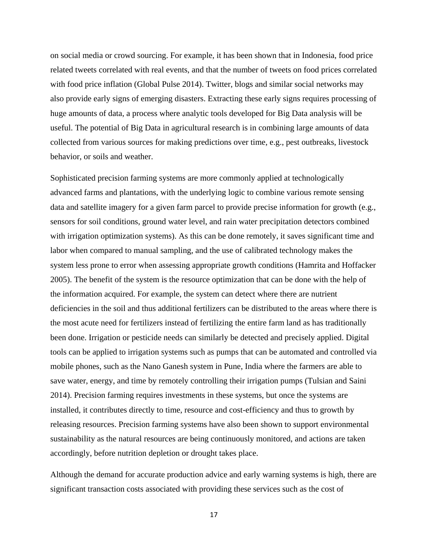on social media or crowd sourcing. For example, it has been shown that in Indonesia, food price related tweets correlated with real events, and that the number of tweets on food prices correlated with food price inflation (Global Pulse 2014). Twitter, blogs and similar social networks may also provide early signs of emerging disasters. Extracting these early signs requires processing of huge amounts of data, a process where analytic tools developed for Big Data analysis will be useful. The potential of Big Data in agricultural research is in combining large amounts of data collected from various sources for making predictions over time, e.g., pest outbreaks, livestock behavior, or soils and weather.

Sophisticated precision farming systems are more commonly applied at technologically advanced farms and plantations, with the underlying logic to combine various remote sensing data and satellite imagery for a given farm parcel to provide precise information for growth (e.g., sensors for soil conditions, ground water level, and rain water precipitation detectors combined with irrigation optimization systems). As this can be done remotely, it saves significant time and labor when compared to manual sampling, and the use of calibrated technology makes the system less prone to error when assessing appropriate growth conditions (Hamrita and Hoffacker 2005). The benefit of the system is the resource optimization that can be done with the help of the information acquired. For example, the system can detect where there are nutrient deficiencies in the soil and thus additional fertilizers can be distributed to the areas where there is the most acute need for fertilizers instead of fertilizing the entire farm land as has traditionally been done. Irrigation or pesticide needs can similarly be detected and precisely applied. Digital tools can be applied to irrigation systems such as pumps that can be automated and controlled via mobile phones, such as the Nano Ganesh system in Pune, India where the farmers are able to save water, energy, and time by remotely controlling their irrigation pumps (Tulsian and Saini 2014). Precision farming requires investments in these systems, but once the systems are installed, it contributes directly to time, resource and cost-efficiency and thus to growth by releasing resources. Precision farming systems have also been shown to support environmental sustainability as the natural resources are being continuously monitored, and actions are taken accordingly, before nutrition depletion or drought takes place.

Although the demand for accurate production advice and early warning systems is high, there are significant transaction costs associated with providing these services such as the cost of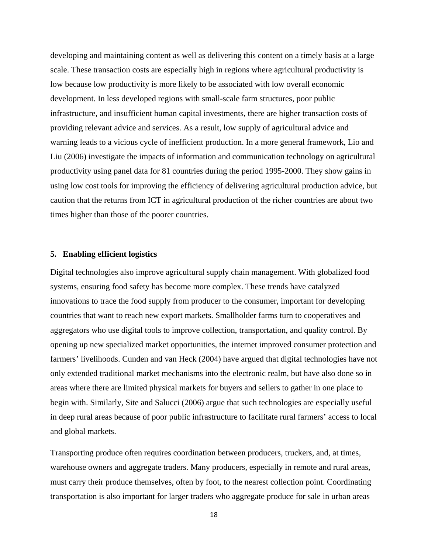developing and maintaining content as well as delivering this content on a timely basis at a large scale. These transaction costs are especially high in regions where agricultural productivity is low because low productivity is more likely to be associated with low overall economic development. In less developed regions with small-scale farm structures, poor public infrastructure, and insufficient human capital investments, there are higher transaction costs of providing relevant advice and services. As a result, low supply of agricultural advice and warning leads to a vicious cycle of inefficient production. In a more general framework, Lio and Liu (2006) investigate the impacts of information and communication technology on agricultural productivity using panel data for 81 countries during the period 1995-2000. They show gains in using low cost tools for improving the efficiency of delivering agricultural production advice, but caution that the returns from ICT in agricultural production of the richer countries are about two times higher than those of the poorer countries.

#### **5. Enabling efficient logistics**

Digital technologies also improve agricultural supply chain management. With globalized food systems, ensuring food safety has become more complex. These trends have catalyzed innovations to trace the food supply from producer to the consumer, important for developing countries that want to reach new export markets. Smallholder farms turn to cooperatives and aggregators who use digital tools to improve collection, transportation, and quality control. By opening up new specialized market opportunities, the internet improved consumer protection and farmers' livelihoods. Cunden and van Heck (2004) have argued that digital technologies have not only extended traditional market mechanisms into the electronic realm, but have also done so in areas where there are limited physical markets for buyers and sellers to gather in one place to begin with. Similarly, Site and Salucci (2006) argue that such technologies are especially useful in deep rural areas because of poor public infrastructure to facilitate rural farmers' access to local and global markets.

Transporting produce often requires coordination between producers, truckers, and, at times, warehouse owners and aggregate traders. Many producers, especially in remote and rural areas, must carry their produce themselves, often by foot, to the nearest collection point. Coordinating transportation is also important for larger traders who aggregate produce for sale in urban areas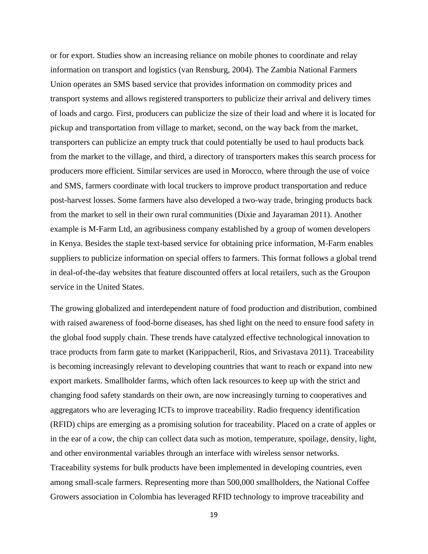or for export. Studies show an increasing reliance on mobile phones to coordinate and relay information on transport and logistics (van Rensburg, 2004). The Zambia National Farmers Union operates an SMS based service that provides information on commodity prices and transport systems and allows registered transporters to publicize their arrival and delivery times of loads and cargo. First, producers can publicize the size of their load and where it is located for pickup and transportation from village to market, second, on the way back from the market, transporters can publicize an empty truck that could potentially be used to haul products back from the market to the village, and third, a directory of transporters makes this search process for producers more efficient. Similar services are used in Morocco, where through the use of voice and SMS, farmers coordinate with local truckers to improve product transportation and reduce post-harvest losses. Some farmers have also developed a two-way trade, bringing products back from the market to sell in their own rural communities (Dixie and Jayaraman 2011). Another example is M-Farm Ltd, an agribusiness company established by a group of women developers in Kenya. Besides the staple text-based service for obtaining price information, M-Farm enables suppliers to publicize information on special offers to farmers. This format follows a global trend in deal-of-the-day websites that feature discounted offers at local retailers, such as the Groupon service in the United States.

The growing globalized and interdependent nature of food production and distribution, combined with raised awareness of food-borne diseases, has shed light on the need to ensure food safety in the global food supply chain. These trends have catalyzed effective technological innovation to trace products from farm gate to market (Karippacheril, Rios, and Srivastava 2011). Traceability is becoming increasingly relevant to developing countries that want to reach or expand into new export markets. Smallholder farms, which often lack resources to keep up with the strict and changing food safety standards on their own, are now increasingly turning to cooperatives and aggregators who are leveraging ICTs to improve traceability. Radio frequency identification (RFID) chips are emerging as a promising solution for traceability. Placed on a crate of apples or in the ear of a cow, the chip can collect data such as motion, temperature, spoilage, density, light, and other environmental variables through an interface with wireless sensor networks. Traceability systems for bulk products have been implemented in developing countries, even among small-scale farmers. Representing more than 500,000 smallholders, the National Coffee Growers association in Colombia has leveraged RFID technology to improve traceability and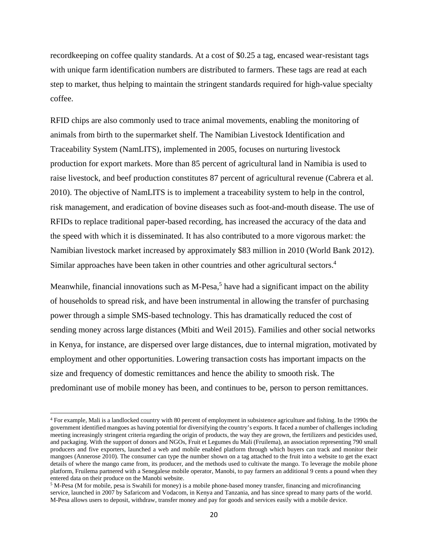recordkeeping on coffee quality standards. At a cost of \$0.25 a tag, encased wear-resistant tags with unique farm identification numbers are distributed to farmers. These tags are read at each step to market, thus helping to maintain the stringent standards required for high-value specialty coffee.

RFID chips are also commonly used to trace animal movements, enabling the monitoring of animals from birth to the supermarket shelf. The Namibian Livestock Identification and Traceability System (NamLITS), implemented in 2005, focuses on nurturing livestock production for export markets. More than 85 percent of agricultural land in Namibia is used to raise livestock, and beef production constitutes 87 percent of agricultural revenue (Cabrera et al. 2010). The objective of NamLITS is to implement a traceability system to help in the control, risk management, and eradication of bovine diseases such as foot-and-mouth disease. The use of RFIDs to replace traditional paper-based recording, has increased the accuracy of the data and the speed with which it is disseminated. It has also contributed to a more vigorous market: the Namibian livestock market increased by approximately \$83 million in 2010 (World Bank 2012). Similar approaches have been taken in other countries and other agricultural sectors.<sup>4</sup>

Meanwhile, financial innovations such as M-Pesa, $<sup>5</sup>$  have had a significant impact on the ability</sup> of households to spread risk, and have been instrumental in allowing the transfer of purchasing power through a simple SMS-based technology. This has dramatically reduced the cost of sending money across large distances (Mbiti and Weil 2015). Families and other social networks in Kenya, for instance, are dispersed over large distances, due to internal migration, motivated by employment and other opportunities. Lowering transaction costs has important impacts on the size and frequency of domestic remittances and hence the ability to smooth risk. The predominant use of mobile money has been, and continues to be, person to person remittances.

<sup>4</sup> For example, Mali is a landlocked country with 80 percent of employment in subsistence agriculture and fishing. In the 1990s the government identified mangoes as having potential for diversifying the country's exports. It faced a number of challenges including meeting increasingly stringent criteria regarding the origin of products, the way they are grown, the fertilizers and pesticides used, and packaging. With the support of donors and NGOs, Fruit et Legumes du Mali (Fruilema), an association representing 790 small producers and five exporters, launched a web and mobile enabled platform through which buyers can track and monitor their mangoes (Annerose 2010). The consumer can type the number shown on a tag attached to the fruit into a website to get the exact details of where the mango came from, its producer, and the methods used to cultivate the mango. To leverage the mobile phone platform, Fruilema partnered with a Senegalese mobile operator, Manobi, to pay farmers an additional 9 cents a pound when they entered data on their produce on the Manobi website.

 $5$  M-Pesa (M for mobile, pesa is Swahili for money) is a mobile phone-based money transfer, financing and microfinancing service, launched in 2007 by Safaricom and Vodacom, in Kenya and Tanzania, and has since spread to many parts of the world. M-Pesa allows users to deposit, withdraw, transfer money and pay for goods and services easily with a mobile device.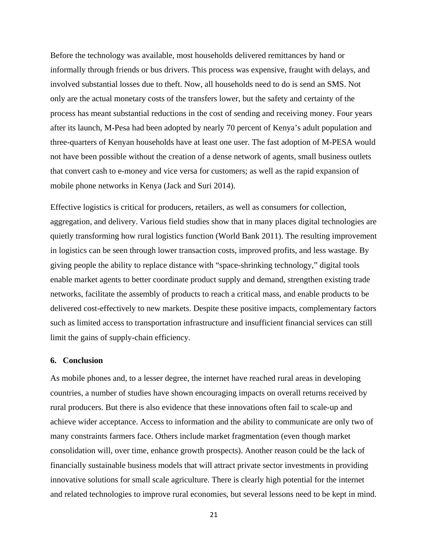Before the technology was available, most households delivered remittances by hand or informally through friends or bus drivers. This process was expensive, fraught with delays, and involved substantial losses due to theft. Now, all households need to do is send an SMS. Not only are the actual monetary costs of the transfers lower, but the safety and certainty of the process has meant substantial reductions in the cost of sending and receiving money. Four years after its launch, M-Pesa had been adopted by nearly 70 percent of Kenya's adult population and three-quarters of Kenyan households have at least one user. The fast adoption of M-PESA would not have been possible without the creation of a dense network of agents, small business outlets that convert cash to e-money and vice versa for customers; as well as the rapid expansion of mobile phone networks in Kenya (Jack and Suri 2014).

Effective logistics is critical for producers, retailers, as well as consumers for collection, aggregation, and delivery. Various field studies show that in many places digital technologies are quietly transforming how rural logistics function (World Bank 2011). The resulting improvement in logistics can be seen through lower transaction costs, improved profits, and less wastage. By giving people the ability to replace distance with "space-shrinking technology," digital tools enable market agents to better coordinate product supply and demand, strengthen existing trade networks, facilitate the assembly of products to reach a critical mass, and enable products to be delivered cost-effectively to new markets. Despite these positive impacts, complementary factors such as limited access to transportation infrastructure and insufficient financial services can still limit the gains of supply-chain efficiency.

#### **6. Conclusion**

As mobile phones and, to a lesser degree, the internet have reached rural areas in developing countries, a number of studies have shown encouraging impacts on overall returns received by rural producers. But there is also evidence that these innovations often fail to scale-up and achieve wider acceptance. Access to information and the ability to communicate are only two of many constraints farmers face. Others include market fragmentation (even though market consolidation will, over time, enhance growth prospects). Another reason could be the lack of financially sustainable business models that will attract private sector investments in providing innovative solutions for small scale agriculture. There is clearly high potential for the internet and related technologies to improve rural economies, but several lessons need to be kept in mind.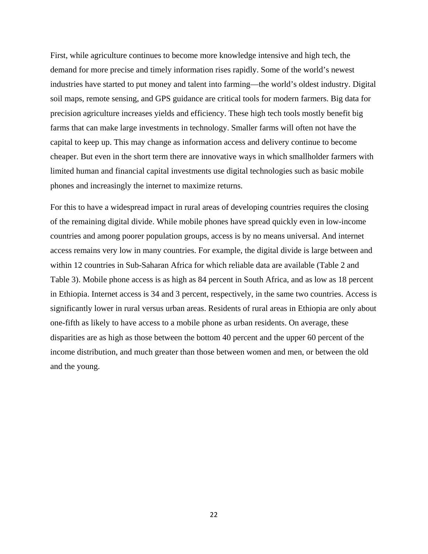First, while agriculture continues to become more knowledge intensive and high tech, the demand for more precise and timely information rises rapidly. Some of the world's newest industries have started to put money and talent into farming—the world's oldest industry. Digital soil maps, remote sensing, and GPS guidance are critical tools for modern farmers. Big data for precision agriculture increases yields and efficiency. These high tech tools mostly benefit big farms that can make large investments in technology. Smaller farms will often not have the capital to keep up. This may change as information access and delivery continue to become cheaper. But even in the short term there are innovative ways in which smallholder farmers with limited human and financial capital investments use digital technologies such as basic mobile phones and increasingly the internet to maximize returns.

For this to have a widespread impact in rural areas of developing countries requires the closing of the remaining digital divide. While mobile phones have spread quickly even in low-income countries and among poorer population groups, access is by no means universal. And internet access remains very low in many countries. For example, the digital divide is large between and within 12 countries in Sub-Saharan Africa for which reliable data are available (Table 2 and Table 3). Mobile phone access is as high as 84 percent in South Africa, and as low as 18 percent in Ethiopia. Internet access is 34 and 3 percent, respectively, in the same two countries. Access is significantly lower in rural versus urban areas. Residents of rural areas in Ethiopia are only about one-fifth as likely to have access to a mobile phone as urban residents. On average, these disparities are as high as those between the bottom 40 percent and the upper 60 percent of the income distribution, and much greater than those between women and men, or between the old and the young.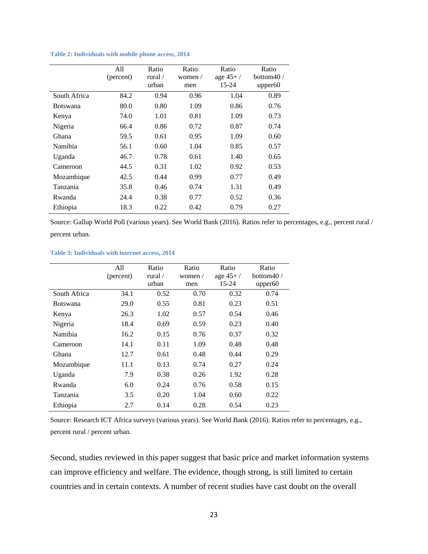| Table 2: Individuals with mobile phone access, 2014 |  |
|-----------------------------------------------------|--|
|-----------------------------------------------------|--|

|                 | All       | Ratio            | Ratio            | Ratio       | Ratio               |
|-----------------|-----------|------------------|------------------|-------------|---------------------|
|                 | (percent) | rural $\sqrt{ }$ | women $\sqrt{ }$ | age $45+$ / | bottom $40/$        |
|                 |           | urban            | men              | 15-24       | upper <sub>60</sub> |
| South Africa    | 84.2      | 0.94             | 0.96             | 1.04        | 0.89                |
| <b>Botswana</b> | 80.0      | 0.80             | 1.09             | 0.86        | 0.76                |
| Kenya           | 74.0      | 1.01             | 0.81             | 1.09        | 0.73                |
| Nigeria         | 66.4      | 0.86             | 0.72             | 0.87        | 0.74                |
| Ghana           | 59.5      | 0.61             | 0.95             | 1.09        | 0.60                |
| Namibia         | 56.1      | 0.60             | 1.04             | 0.85        | 0.57                |
| Uganda          | 46.7      | 0.78             | 0.61             | 1.40        | 0.65                |
| Cameroon        | 44.5      | 0.31             | 1.02             | 0.92        | 0.53                |
| Mozambique      | 42.5      | 0.44             | 0.99             | 0.77        | 0.49                |
| Tanzania        | 35.8      | 0.46             | 0.74             | 1.31        | 0.49                |
| Rwanda          | 24.4      | 0.38             | 0.77             | 0.52        | 0.36                |
| Ethiopia        | 18.3      | 0.22             | 0.42             | 0.79        | 0.27                |

Source: Gallup World Poll (various years). See World Bank (2016). Ratios refer to percentages, e.g., percent rural / percent urban.

#### **Table 3: Individuals with internet access, 2014**

|                 | All<br>(percent) | Ratio<br>rural $\sqrt{ }$<br>urban | Ratio<br>women /<br>men | Ratio<br>age $45+$ /<br>$15 - 24$ | Ratio<br>bottom $40/$<br>upper <sub>60</sub> |
|-----------------|------------------|------------------------------------|-------------------------|-----------------------------------|----------------------------------------------|
| South Africa    | 34.1             | 0.52                               | 0.70                    | 0.32                              | 0.74                                         |
| <b>Botswana</b> | 29.0             | 0.55                               | 0.81                    | 0.23                              | 0.51                                         |
| Kenya           | 26.3             | 1.02                               | 0.57                    | 0.54                              | 0.46                                         |
| Nigeria         | 18.4             | 0.69                               | 0.59                    | 0.23                              | 0.40                                         |
| Namibia         | 16.2             | 0.15                               | 0.76                    | 0.37                              | 0.32                                         |
| Cameroon        | 14.1             | 0.11                               | 1.09                    | 0.48                              | 0.48                                         |
| Ghana           | 12.7             | 0.61                               | 0.48                    | 0.44                              | 0.29                                         |
| Mozambique      | 11.1             | 0.13                               | 0.74                    | 0.27                              | 0.24                                         |
| Uganda          | 7.9              | 0.38                               | 0.26                    | 1.92                              | 0.28                                         |
| Rwanda          | 6.0              | 0.24                               | 0.76                    | 0.58                              | 0.15                                         |
| Tanzania        | 3.5              | 0.20                               | 1.04                    | 0.60                              | 0.22                                         |
| Ethiopia        | 2.7              | 0.14                               | 0.28                    | 0.54                              | 0.23                                         |

Source: Research ICT Africa surveys (various years). See World Bank (2016). Ratios refer to percentages, e.g., percent rural / percent urban.

Second, studies reviewed in this paper suggest that basic price and market information systems can improve efficiency and welfare. The evidence, though strong, is still limited to certain countries and in certain contexts. A number of recent studies have cast doubt on the overall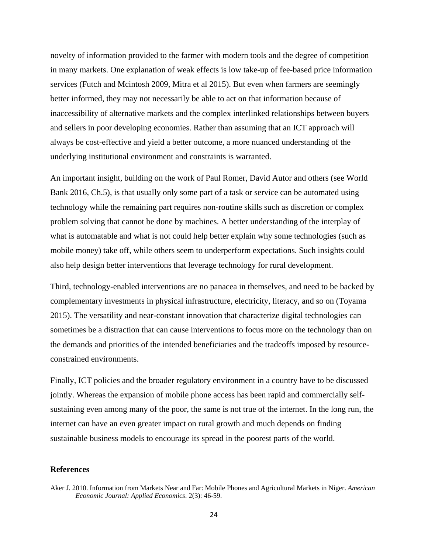novelty of information provided to the farmer with modern tools and the degree of competition in many markets. One explanation of weak effects is low take-up of fee-based price information services (Futch and Mcintosh 2009, Mitra et al 2015). But even when farmers are seemingly better informed, they may not necessarily be able to act on that information because of inaccessibility of alternative markets and the complex interlinked relationships between buyers and sellers in poor developing economies. Rather than assuming that an ICT approach will always be cost-effective and yield a better outcome, a more nuanced understanding of the underlying institutional environment and constraints is warranted.

An important insight, building on the work of Paul Romer, David Autor and others (see World Bank 2016, Ch.5), is that usually only some part of a task or service can be automated using technology while the remaining part requires non-routine skills such as discretion or complex problem solving that cannot be done by machines. A better understanding of the interplay of what is automatable and what is not could help better explain why some technologies (such as mobile money) take off, while others seem to underperform expectations. Such insights could also help design better interventions that leverage technology for rural development.

Third, technology-enabled interventions are no panacea in themselves, and need to be backed by complementary investments in physical infrastructure, electricity, literacy, and so on (Toyama 2015). The versatility and near-constant innovation that characterize digital technologies can sometimes be a distraction that can cause interventions to focus more on the technology than on the demands and priorities of the intended beneficiaries and the tradeoffs imposed by resourceconstrained environments.

Finally, ICT policies and the broader regulatory environment in a country have to be discussed jointly. Whereas the expansion of mobile phone access has been rapid and commercially selfsustaining even among many of the poor, the same is not true of the internet. In the long run, the internet can have an even greater impact on rural growth and much depends on finding sustainable business models to encourage its spread in the poorest parts of the world.

### **References**

Aker J. 2010. Information from Markets Near and Far: Mobile Phones and Agricultural Markets in Niger. *American Economic Journal: Applied Economics*. 2(3): 46-59.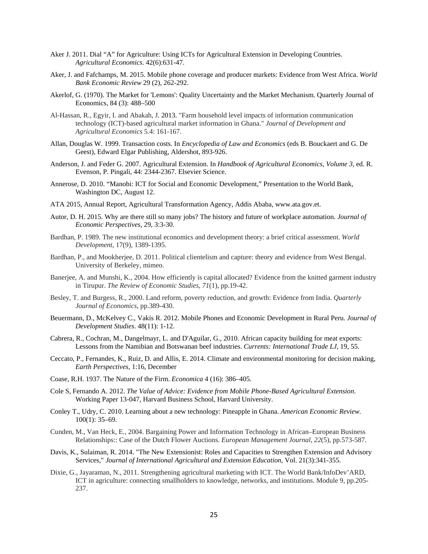- Aker J. 2011. Dial "A" for Agriculture: Using ICTs for Agricultural Extension in Developing Countries. *Agricultural Economics*. 42(6):631-47.
- Aker, J. and Fafchamps, M. 2015. Mobile phone coverage and producer markets: Evidence from West Africa. *World Bank Economic Review* 29 (2), 262-292.
- Akerlof, G. (1970). The Market for 'Lemons': Quality Uncertainty and the Market Mechanism. Quarterly Journal of Economics, 84 (3): 488–500
- Al-Hassan, R., Egyir, I. and Abakah, J. 2013. "Farm household level impacts of information communication technology (ICT)-based agricultural market information in Ghana." *Journal of Development and Agricultural Economics* 5.4: 161-167.
- Allan, Douglas W. 1999. Transaction costs. In *Encyclopedia of Law and Economics* (eds B. Bouckaert and G. De Geest), Edward Elgar Publishing, Aldershot, 893-926.
- Anderson, J. and Feder G. 2007. Agricultural Extension. In *Handbook of Agricultural Economics*, *Volume 3,* ed. R. Evenson, P. Pingali, 44: 2344-2367. Elsevier Science.
- Annerose, D. 2010. "Manobi: ICT for Social and Economic Development," Presentation to the World Bank, Washington DC, August 12.
- ATA 2015, Annual Report, Agricultural Transformation Agency, Addis Ababa, www.ata.gov.et.
- Autor, D. H. 2015. Why are there still so many jobs? The history and future of workplace automation. *Journal of Economic Perspectives*, 29, 3:3-30.
- Bardhan, P. 1989. The new institutional economics and development theory: a brief critical assessment. *World Development*, 17(9), 1389-1395.
- Bardhan, P., and Mookherjee, D. 2011. Political clientelism and capture: theory and evidence from West Bengal. University of Berkeley, mimeo.
- Banerjee, A. and Munshi, K., 2004. How efficiently is capital allocated? Evidence from the knitted garment industry in Tirupur. *The Review of Economic Studies*, *71*(1), pp.19-42.
- Besley, T. and Burgess, R., 2000. Land reform, poverty reduction, and growth: Evidence from India. *Quarterly Journal of Economics*, pp.389-430.
- Beuermann, D., McKelvey C., Vakis R. 2012. Mobile Phones and Economic Development in Rural Peru. *Journal of Development Studies*. 48(11): 1-12.
- Cabrera, R., Cochran, M., Dangelmayr, L. and D'Aguilar, G., 2010. African capacity building for meat exports: Lessons from the Namibian and Botswanan beef industries. *Currents: International Trade LJ*, 19, 55.
- Ceccato, P., Fernandes, K., Ruiz, D. and Allis, E. 2014. Climate and environmental monitoring for decision making, *Earth Perspectives*, 1:16, December
- Coase, R.H. 1937. The Nature of the Firm. *Economica* 4 (16): 386–405.
- Cole S, Fernando A. 2012. *The Value of Advice: Evidence from Mobile Phone-Based Agricultural Extension*. Working Paper 13-047, Harvard Business School, Harvard University.
- Conley T., Udry, C. 2010. Learning about a new technology: Pineapple in Ghana. *American Economic Review.*  100(1): 35–69.
- Cunden, M., Van Heck, E., 2004. Bargaining Power and Information Technology in African–European Business Relationships:: Case of the Dutch Flower Auctions. *European Management Journal*, *22*(5), pp.573-587.
- Davis, K., Sulaiman, R. 2014. "The New Extensionist: Roles and Capacities to Strengthen Extension and Advisory Services," *Journal of International Agricultural and Extension Education*, Vol. 21(3):341-355.
- Dixie, G., Jayaraman, N., 2011. Strengthening agricultural marketing with ICT. The World Bank/InfoDev'ARD, ICT in agriculture: connecting smallholders to knowledge, networks, and institutions. Module 9, pp.205- 237.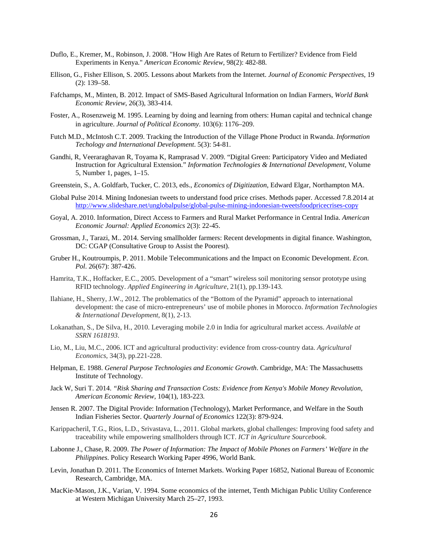- Duflo, E., Kremer, M., Robinson, J. 2008. "How High Are Rates of Return to Fertilizer? Evidence from Field Experiments in Kenya." *American Economic Review*, 98(2): 482-88.
- Ellison, G., Fisher Ellison, S. 2005. Lessons about Markets from the Internet. *Journal of Economic Perspectives*, 19 (2): 139–58.
- Fafchamps, M., Minten, B. 2012. Impact of SMS-Based Agricultural Information on Indian Farmers, *World Bank Economic Review*, 26(3), 383-414.
- Foster, A., Rosenzweig M. 1995. Learning by doing and learning from others: Human capital and technical change in agriculture. *Journal of Political Economy*. 103(6): 1176–209.
- Futch M.D., McIntosh C.T. 2009. Tracking the Introduction of the Village Phone Product in Rwanda. *Information Techology and International Development*. 5(3): 54-81.
- Gandhi, R, Veeraraghavan R, Toyama K, Ramprasad V. 2009. "Digital Green: Participatory Video and Mediated Instruction for Agricultural Extension." *Information Technologies & International Development,* Volume 5, Number 1, pages, 1–15.
- Greenstein, S., A. Goldfarb, Tucker, C. 2013, eds., *Economics of Digitization*, Edward Elgar, Northampton MA.
- Global Pulse 2014. Mining Indonesian tweets to understand food price crises. Methods paper. Accessed 7.8.2014 at http://www.slideshare.net/unglobalpulse/global-pulse-mining-indonesian-tweetsfoodpricecrises-copy
- Goyal, A. 2010. Information, Direct Access to Farmers and Rural Market Performance in Central India. *American Economic Journal: Applied Economics* 2(3): 22-45.
- Grossman, J., Tarazi, M.. 2014. Serving smallholder farmers: Recent developments in digital finance. Washington, DC: CGAP (Consultative Group to Assist the Poorest).
- Gruber H., Koutroumpis, P. 2011. Mobile Telecommunications and the Impact on Economic Development. *Econ. Pol*. 26(67): 387-426.
- Hamrita, T.K., Hoffacker, E.C., 2005. Development of a "smart" wireless soil monitoring sensor prototype using RFID technology. *Applied Engineering in Agriculture*, 21(1), pp.139-143.
- Ilahiane, H., Sherry, J.W., 2012. The problematics of the "Bottom of the Pyramid" approach to international development: the case of micro-entrepreneurs' use of mobile phones in Morocco. *Information Technologies & International Development*, 8(1), 2-13.
- Lokanathan, S., De Silva, H., 2010. Leveraging mobile 2.0 in India for agricultural market access. *Available at SSRN 1618193*.
- Lio, M., Liu, M.C., 2006. ICT and agricultural productivity: evidence from cross‐country data. *Agricultural Economics*, 34(3), pp.221-228.
- Helpman, E. 1988. *General Purpose Technologies and Economic Growth*. Cambridge, MA: The Massachusetts Institute of Technology.
- Jack W, Suri T. 2014. *"Risk Sharing and Transaction Costs: Evidence from Kenya's Mobile Money Revolution, American Economic Review,* 104(1), 183-223*.*
- Jensen R. 2007. The Digital Provide: Information (Technology), Market Performance, and Welfare in the South Indian Fisheries Sector. *Quarterly Journal of Economics* 122(3): 879-924.
- Karippacheril, T.G., Rios, L.D., Srivastava, L., 2011. Global markets, global challenges: Improving food safety and traceability while empowering smallholders through ICT. *ICT in Agriculture Sourcebook*.
- Labonne J., Chase, R. 2009. *The Power of Information: The Impact of Mobile Phones on Farmers' Welfare in the Philippines*. Policy Research Working Paper 4996, World Bank.
- Levin, Jonathan D. 2011. The Economics of Internet Markets. Working Paper 16852, National Bureau of Economic Research, Cambridge, MA.
- MacKie-Mason, J.K., Varian, V. 1994. Some economics of the internet, Tenth Michigan Public Utility Conference at Western Michigan University March 25–27, 1993.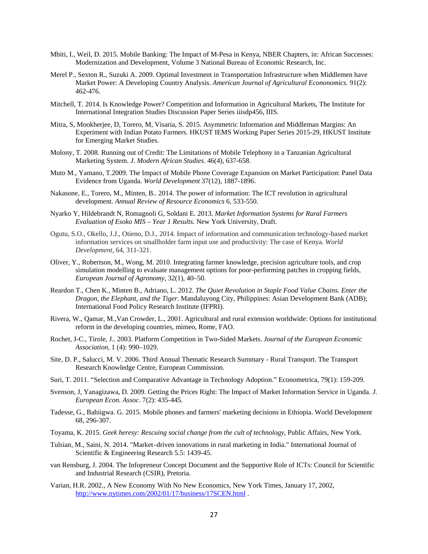- Mbiti, I., Weil, D. 2015. Mobile Banking: The Impact of M-Pesa in Kenya, NBER Chapters, in: African Successes: Modernization and Development, Volume 3 National Bureau of Economic Research, Inc.
- Merel P., Sexton R., Suzuki A. 2009. Optimal Investment in Transportation Infrastructure when Middlemen have Market Power: A Developing Country Analysis. *American Journal of Agricultural Econonomics.* 91(2): 462-476.
- Mitchell, T. 2014. Is Knowledge Power? Competition and Information in Agricultural Markets, The Institute for International Integration Studies Discussion Paper Series iiisdp456, IIIS.
- Mitra, S, Mookherjee, D, Torero, M, Visaria, S. 2015. Asymmetric Information and Middleman Margins: An Experiment with Indian Potato Farmers. HKUST IEMS Working Paper Series 2015-29, HKUST Institute for Emerging Market Studies.
- Molony, T. 2008. Running out of Credit: The Limitations of Mobile Telephony in a Tanzanian Agricultural Marketing System. *J. Modern African Studies*. 46(4), 637-658.
- Muto M., Yamano, T.2009. The Impact of Mobile Phone Coverage Expansion on Market Participation: Panel Data Evidence from Uganda. *World Development* 37(12), 1887-1896.
- Nakasone, E., Torero, M., Minten, B.. 2014. The power of information: The ICT revolution in agricultural development. *Annual Review of Resource Economics* 6, 533-550.
- Nyarko Y, Hildebrandt N, Romagnoli G, Soldani E. 2013. *Market Information Systems for Rural Farmers Evaluation of Esoko MIS – Year 1 Results.* New York University, Draft.
- Ogutu, S.O., Okello, J.J., Otieno, D.J., 2014. Impact of information and communication technology-based market information services on smallholder farm input use and productivity: The case of Kenya. *World Development*, 64, 311-321.
- Oliver, Y., Robertson, M., Wong, M. 2010. Integrating farmer knowledge, precision agriculture tools, and crop simulation modelling to evaluate management options for poor-performing patches in cropping fields, *European Journal of Agronomy*, 32(1), 40–50.
- Reardon T., Chen K., Minten B., Adriano, L. 2012. *The Quiet Revolution in Staple Food Value Chains. Enter the Dragon, the Elephant, and the Tiger.* Mandaluyong City, Philippines: Asian Development Bank (ADB); International Food Policy Research Institute (IFPRI).
- Rivera, W., Qamar, M.,Van Crowder, L., 2001. Agricultural and rural extension worldwide: Options for institutional reform in the developing countries, mimeo, Rome, FAO.
- Rochet, J-C., Tirole, J.. 2003. Platform Competition in Two-Sided Markets. *Journal of the European Economic Association*, 1 (4): 990–1029.
- Site, D. P., Salucci, M. V. 2006. Third Annual Thematic Research Summary Rural Transport. The Transport Research Knowledge Centre, European Commission.
- Suri, T. 2011. "Selection and Comparative Advantage in Technology Adoption." Econometrica, 79(1): 159-209.
- Svenson, J, Yanagizawa, D. 2009. Getting the Prices Right: The Impact of Market Information Service in Uganda. *J. European Econ. Assoc*. 7(2): 435-445.
- Tadesse, G., Bahiigwa. G. 2015. Mobile phones and farmers' marketing decisions in Ethiopia. World Development 68, 296-307.
- Toyama, K. 2015. *Geek heresy: Rescuing social change from the cult of technology*, Public Affairs, New York.
- Tulsian, M., Saini, N. 2014. "Market–driven innovations in rural marketing in India." International Journal of Scientific & Engineering Research 5.5: 1439-45.
- van Rensburg, J. 2004. The Infopreneur Concept Document and the Supportive Role of ICTs: Council for Scientific and Industrial Research (CSIR), Pretoria.
- Varian, H.R. 2002., A New Economy With No New Economics, New York Times, January 17, 2002, http://www.nytimes.com/2002/01/17/business/17SCEN.html .